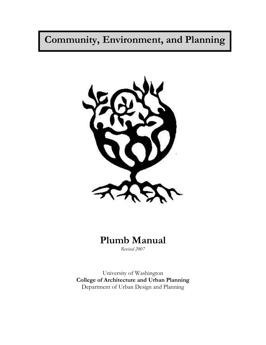## ֦ **Community, Environment, and Planning**



# **Plumb Manual**

*Revised 2007*

University of Washington **College of Architecture and Urban Planning** Department of Urban Design and Planning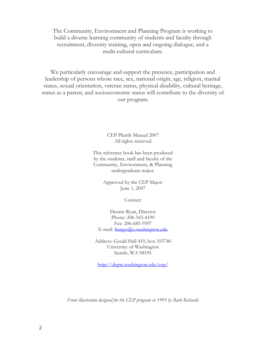The Community, Environment and Planning Program is working to build a diverse learning community of students and faculty through recruitment, diversity training, open and ongoing dialogue, and a multi-cultural curriculum.

We particularly encourage and support the presence, participation and leadership of persons whose race, sex, national origin, age, religion, marital status, sexual orientation, veteran status, physical disability, cultural heritage, status as a parent, and socioeconomic status will contribute to the diversity of our program.

> CEP Plumb Manual 2007 All rights reserved

This reference book has been produced by the students, staff and faculty of the Community, Environment, & Planning undergraduate major.

> Approved by the CEP Major: June 1, 2007

> > Contact:

Dennis Ryan, Director Phone: 206-543-4190 Fax: 206-685-9597 E-mail: [frango@u.washington.edu](mailto:frango@u.washington.edu)

Address: Gould Hall 410, box 355740 University of Washington Seattle, WA 98195

<http://depts.washington.edu/cep/>

*Front illustration designed for the CEP program in 1995 by Ruth Richards*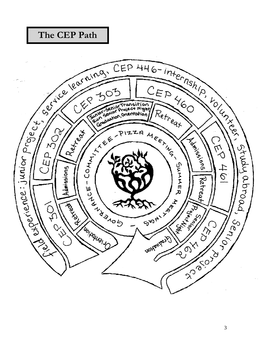## **The CEP Path**

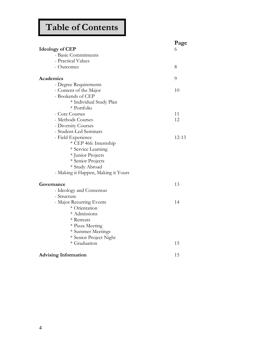# **Table of Contents**

|                                     | Page  |
|-------------------------------------|-------|
| <b>Ideology of CEP</b>              | 6     |
| - Basic Commitments                 |       |
| - Practical Values                  |       |
| - Outcomes                          | 8     |
| Academics                           | 9     |
| - Degree Requirements               |       |
| - Content of the Major              | 10    |
| - Bookends of CEP                   |       |
| * Individual Study Plan             |       |
| * Portfolio                         |       |
| - Core Courses                      | 11    |
| - Methods Courses                   | 12    |
| - Diversity Courses                 |       |
| - Student-Led Seminars              |       |
| - Field Experience                  | 12-13 |
| * CEP 466: Internship               |       |
| * Service Learning                  |       |
| * Junior Projects                   |       |
| * Senior Projects                   |       |
| * Study Abroad                      |       |
| - Making it Happen, Making it Yours |       |
| Governance                          | 13    |
| - Ideology and Consensus            |       |
| - Structure                         |       |
| - Major Recurring Events            | 14    |
| * Orientation                       |       |
| * Admissions                        |       |
| * Retreats                          |       |
| * Pizza Meeting                     |       |
| * Summer Meetings                   |       |
| * Senior Project Night              |       |
| * Graduation                        | 15    |
| <b>Advising Information</b>         | 15    |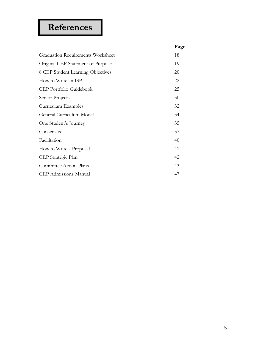# **References**

|                                          | Page |
|------------------------------------------|------|
| <b>Graduation Requirements Worksheet</b> | 18   |
| Original CEP Statement of Purpose        | 19   |
| 8 CEP Student Learning Objectives        | 20   |
| How to Write an ISP                      | 22   |
| CEP Portfolio Guidebook                  | 25   |
| Senior Projects                          | 30   |
| Curriculum Examples                      | 32   |
| General Curriculum Model                 | 34   |
| One Student's Journey                    | 35   |
| Consensus                                | 37   |
| Facilitation                             | 40   |
| How to Write a Proposal                  | 41   |
| CEP Strategic Plan                       | 42   |
| Committee Action Plans                   | 43   |
| <b>CEP</b> Admissions Manual             | 47   |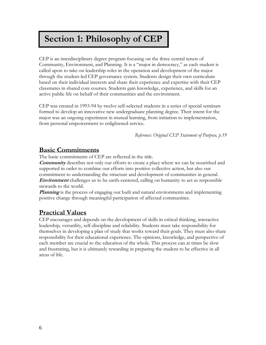## **Section 1: Philosophy of CEP**

CEP is an interdisciplinary degree program focusing on the three central tenets of Community, Environment, and Planning. It is a "major in democracy," as each student is called upon to take on leadership roles in the operation and development of the major through the student-led CEP governance system. Students design their own curriculum based on their individual interests and share their experience and expertise with their CEP classmates in shared core courses. Students gain knowledge, experience, and skills for an active public life on behalf of their communities and the environment.

CEP was created in 1993-94 by twelve self-selected students in a series of special seminars formed to develop an innovative new undergraduate planning degree. Their intent for the major was an ongoing experiment in mutual learning, from initiation to implementation, from personal empowerment to enlightened service.

*Reference: Original CEP Statement of Purpose, p.19*

## **Basic Commitments**

The basic commitments of CEP are reflected in the title.

**Community** describes not only our efforts to create a place where we can be nourished and supported in order to combine our efforts into positive collective action, but also our commitment to understanding the structure and development of communities in general. **Environment** challenges us to be earth-centered, calling on humanity to act as responsible stewards to the world.

**Planning** is the process of engaging our built and natural environments and implementing positive change through meaningful participation of affected communities.

## **Practical Values**

CEP encourages and depends on the development of skills in critical thinking, interactive leadership, versatility, self-discipline and reliability. Students must take responsibility for themselves in developing a plan of study that works toward their goals. They must also share responsibility for their educational experience. The opinions, knowledge, and perspective of each member are crucial to the education of the whole. This process can at times be slow and frustrating, but it is ultimately rewarding in preparing the student to be effective in all areas of life.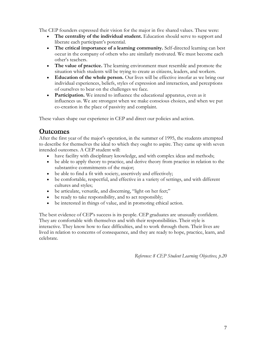The CEP founders expressed their vision for the major in five shared values. These were:

- The centrality of the individual student. Education should serve to support and liberate each participant's potential.
- **The critical importance of a learning community.** Self-directed learning can best occur in the company of others who are similarly motivated. We must become each other's teachers.
- **The value of practice.** The learning environment must resemble and promote the situation which students will be trying to create as citizens, leaders, and workers.
- **Education of the whole person.** Our lives will be effective insofar as we bring our individual experiences, beliefs, styles of expression and interaction, and perceptions of ourselves to bear on the challenges we face.
- **Participation.** We intend to influence the educational apparatus, even as it influences us. We are strongest when we make conscious choices, and when we put co-creation in the place of passivity and complaint.

These values shape our experience in CEP and direct our policies and action.

## **Outcomes**

After the first year of the major's operation, in the summer of 1995, the students attempted to describe for themselves the ideal to which they ought to aspire. They came up with seven intended outcomes. A CEP student will:

- have facility with disciplinary knowledge, and with complex ideas and methods;
- be able to apply theory to practice, and derive theory from practice in relation to the substantive commitments of the major;
- be able to find a fit with society, assertively and effectively;
- be comfortable, respectful, and effective in a variety of settings, and with different cultures and styles;
- be articulate, versatile, and discerning, "light on her feet;"
- be ready to take responsibility, and to act responsibly;
- be interested in things of value, and in promoting ethical action.

The best evidence of CEP's success is its people. CEP graduates are unusually confident. They are comfortable with themselves and with their responsibilities. Their style is interactive. They know how to face difficulties, and to work through them. Their lives are lived in relation to concerns of consequence, and they are ready to hope, practice, learn, and celebrate.

*Reference: 8 CEP Student Learning Objectives, p.20*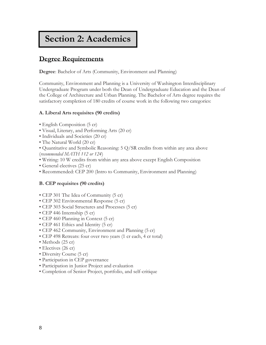## **Section 2: Academics**

## **Degree Requirements**

**Degree**: Bachelor of Arts (Community, Environment and Planning)

Community, Environment and Planning is a University of Washington Interdisciplinary Undergraduate Program under both the Dean of Undergraduate Education and the Dean of the College of Architecture and Urban Planning. The Bachelor of Arts degree requires the satisfactory completion of 180 credits of course work in the following two categories:

#### **A. Liberal Arts requisites (90 credits)**

- English Composition (5 cr)
- Visual, Literary, and Performing Arts (20 cr)
- Individuals and Societies (20 cr)
- The Natural World (20 cr)
- Quantitative and Symbolic Reasoning: 5 Q/SR credits from within any area above (*recommended MATH 112 or 124*)
- Writing: 10 W credits from within any area above except English Composition
- General electives (25 cr)
- Recommended: CEP 200 (Intro to Community, Environment and Planning)

#### **B. CEP requisites (90 credits)**

- CEP 301 The Idea of Community (5 cr)
- CEP 302 Environmental Response (5 cr)
- CEP 303 Social Structures and Processes (5 cr)
- CEP 446 Internship (5 cr)
- CEP 460 Planning in Context (5 cr)
- CEP 461 Ethics and Identity (5 cr)
- CEP 462 Community, Environment and Planning (5 cr)
- CEP 498 Retreats: four over two years (1 cr each, 4 cr total)
- Methods (25 cr)
- Electives (26 cr)
- Diversity Course (5 cr)
- Participation in CEP governance
- Participation in Junior Project and evaluation
- Completion of Senior Project, portfolio, and self-critique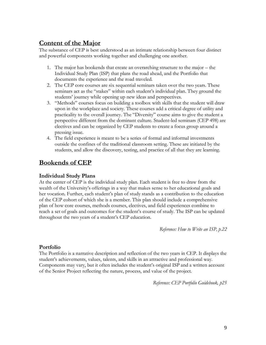## **Content of the Major**

The substance of CEP is best understood as an intimate relationship between four distinct and powerful components working together and challenging one another.

- 1. The major has bookends that create an overarching structure to the major the Individual Study Plan (ISP) that plans the road ahead, and the Portfolio that documents the experience and the road traveled.
- 2. The CEP core courses are six sequential seminars taken over the two years. These seminars act as the "stakes" within each student's individual plan. They ground the students' journey while opening up new ideas and perspectives.
- 3. "Methods" courses focus on building a toolbox with skills that the student will draw upon in the workplace and society. These courses add a critical degree of utility and practicality to the overall journey. The "Diversity" course aims to give the student a perspective different from the dominant culture. Student-led seminars (CEP 498) are electives and can be organized by CEP students to create a focus group around a pressing issue.
- 4. The field experience is meant to be a series of formal and informal investments outside the confines of the traditional classroom setting. These are initiated by the students, and allow the discovery, testing, and practice of all that they are learning.

## **Bookends of CEP**

### **Individual Study Plans**

At the center of CEP is the individual study plan. Each student is free to draw from the wealth of the University's offerings in a way that makes sense to her educational goals and her vocation. Further, each student's plan of study stands as a contribution to the education of the CEP cohort of which she is a member. This plan should include a comprehensive plan of how core courses, methods courses, electives, and field experiences combine to reach a set of goals and outcomes for the student's course of study. The ISP can be updated throughout the two years of a student's CEP education.

*Reference: How to Write an ISP, p.22*

#### **Portfolio**

The Portfolio is a narrative description and reflection of the two years in CEP. It displays the student's achievements, values, talents, and skills in an attractive and professional way. Components may vary, but it often includes the student's original ISP and a written account of the Senior Project reflecting the nature, process, and value of the project.

*Reference: CEP Portfolio Guidebook, p25*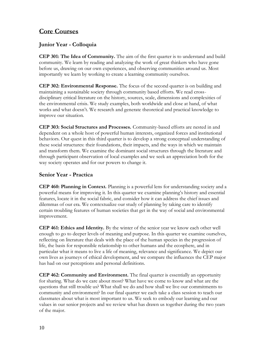## **Core Courses**

## **Junior Year - Colloquia**

**CEP 301: The Idea of Community.** The aim of the first quarter is to understand and build community. We learn by reading and analyzing the work of great thinkers who have gone before us, drawing on our own experiences, and observing communities around us. Most importantly we learn by working to create a learning community ourselves.

**CEP 302: Environmental Response.** The focus of the second quarter is on building and maintaining a sustainable society through community based efforts. We read crossdisciplinary critical literature on the history, sources, scale, dimensions and complexities of the environmental crisis. We study examples, both worldwide and close at hand, of what works and what doesn't. We research and generate theoretical and practical knowledge to improve our situation.

**CEP 303: Social Structures and Processes.** Community-based efforts are nested in and dependent on a whole host of powerful human interests, organized forces and institutional behaviors. Our quest in this third quarter is to develop a strong conceptual understanding of these social structures: their foundations, their impacts, and the ways in which we maintain and transform them. We examine the dominant social structures through the literature and through participant observation of local examples and we seek an appreciation both for the way society operates and for our powers to change it.

### **Senior Year - Practica**

**CEP 460: Planning in Context.** Planning is a powerful lens for understanding society and a powerful means for improving it. In this quarter we examine planning's history and essential features, locate it in the social fabric, and consider how it can address the chief issues and dilemmas of our era. We contextualize our study of planning by taking care to identify certain troubling features of human societies that get in the way of social and environmental improvement.

**CEP 461: Ethics and Identity.** By the winter of the senior year we know each other well enough to go to deeper levels of meaning and purpose. In this quarter we examine ourselves, reflecting on literature that deals with the place of the human species in the progression of life, the basis for responsible relationship to other humans and the ecosphere, and in particular what it means to live a life of meaning, relevance and significance. We depict our own lives as journeys of ethical development, and we compare the influences the CEP major has had on our perceptions and personal definitions.

**CEP 462: Community and Environment.** The final quarter is essentially an opportunity for sharing. What do we care about most? What have we come to know and what are the questions that still trouble us? What shall we do and how shall we live our commitments to community and environment? In our final quarter we each take a class session to teach our classmates about what is most important to us. We seek to embody our learning and our values in our senior projects and we review what has drawn us together during the two years of the major.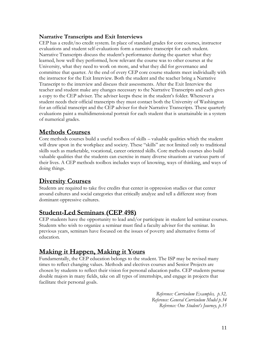### **Narrative Transcripts and Exit Interviews**

CEP has a credit/no credit system. In place of standard grades for core courses, instructor evaluations and student self-evaluations form a narrative transcript for each student. Narrative Transcripts discuss the student's performance during the quarter: what they learned, how well they performed, how relevant the course was to other courses at the University, what they need to work on more, and what they did for governance and committee that quarter. At the end of every CEP core course students meet individually with the instructor for the Exit Interview. Both the student and the teacher bring a Narrative Transcript to the interview and discuss their assessments. After the Exit Interview the teacher and student make any changes necessary to the Narrative Transcripts and each gives a copy to the CEP adviser. The adviser keeps these in the student's folder. Whenever a student needs their official transcripts they must contact both the University of Washington for an official transcript and the CEP adviser for their Narrative Transcripts. These quarterly evaluations paint a multidimensional portrait for each student that is unattainable in a system of numerical grades.

## **Methods Courses**

Core methods courses build a useful toolbox of skills – valuable qualities which the student will draw upon in the workplace and society. These "skills" are not limited only to traditional skills such as marketable, vocational, career oriented skills. Core methods courses also build valuable qualities that the students can exercise in many diverse situations at various parts of their lives. A CEP methods toolbox includes ways of knowing, ways of thinking, and ways of doing things.

## **Diversity Courses**

Students are required to take five credits that center in oppression studies or that center around cultures and social categories that critically analyze and tell a different story from dominant oppressive cultures.

## **Student-Led Seminars (CEP 498)**

CEP students have the opportunity to lead and/or participate in student led seminar courses. Students who wish to organize a seminar must find a faculty adviser for the seminar. In previous years, seminars have focused on the issues of poverty and alternative forms of education.

## **Making it Happen, Making it Yours**

Fundamentally, the CEP education belongs to the student. The ISP may be revised many times to reflect changing values. Methods and electives courses and Senior Projects are chosen by students to reflect their vision for personal education paths. CEP students pursue double majors in many fields, take on all types of internships, and engage in projects that facilitate their personal goals.

> *Reference: Curriculum Examples, p.32, Reference: General Curriculum Model p.34 Reference: One Student's Journey, p.35*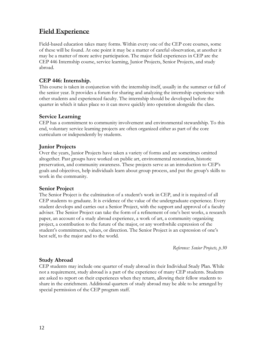## **Field Experience**

Field-based education takes many forms. Within every one of the CEP core courses, some of these will be found. At one point it may be a matter of careful observation, at another it may be a matter of more active participation. The major field experiences in CEP are the CEP 446 Internship course, service learning, Junior Projects, Senior Projects, and study abroad.

#### **CEP 446: Internship.**

This course is taken in conjunction with the internship itself, usually in the summer or fall of the senior year. It provides a forum for sharing and analyzing the internship experience with other students and experienced faculty. The internship should be developed before the quarter in which it takes place so it can move quickly into operation alongside the class.

#### **Service Learning**

CEP has a commitment to community involvement and environmental stewardship. To this end, voluntary service learning projects are often organized either as part of the core curriculum or independently by students.

### **Junior Projects**

Over the years, Junior Projects have taken a variety of forms and are sometimes omitted altogether. Past groups have worked on public art, environmental restoration, historic preservation, and community awareness. These projects serve as an introduction to CEP's goals and objectives, help individuals learn about group process, and put the group's skills to work in the community.

#### **Senior Project**

The Senior Project is the culmination of a student's work in CEP, and it is required of all CEP students to graduate. It is evidence of the value of the undergraduate experience. Every student develops and carries out a Senior Project, with the support and approval of a faculty adviser. The Senior Project can take the form of a refinement of one's best works, a research paper, an account of a study abroad experience, a work of art, a community organizing project, a contribution to the future of the major, or any worthwhile expression of the student's commitments, values, or direction. The Senior Project is an expression of one's best self, to the major and to the world.

*Reference: Senior Projects, p.30*

### **Study Abroad**

CEP students may include one quarter of study abroad in their Individual Study Plan. While not a requirement, study abroad is a part of the experience of many CEP students. Students are asked to report on their experiences when they return, allowing their fellow students to share in the enrichment. Additional quarters of study abroad may be able to be arranged by special permission of the CEP program staff.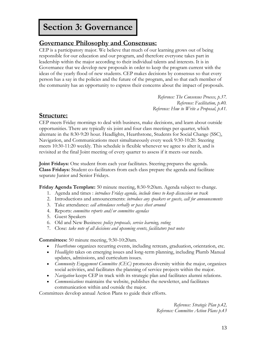## **Section 3: Governance**

## **Governance Philosophy and Consensus:**

CEP is a participatory major. We believe that much of our learning grows out of being responsible for our education and our program, and therefore everyone takes part in leadership within the major according to their individual talents and interests. It is in Governance that we develop new proposals in order to keep the program current with the ideas of the yearly flood of new students. CEP makes decisions by consensus so that every person has a say in the policies and the future of the program, and so that each member of the community has an opportunity to express their concerns about the impact of proposals.

> *Reference: The Consensus Process, p.37. Reference: Facilitation, p.40. Reference: How to Write a Proposal, p.41.*

## **Structure:**

CEP meets Friday mornings to deal with business, make decisions, and learn about outside opportunities. There are typically six joint and four class meetings per quarter, which alternate in the 8:30-9:20 hour. Headlights, Hearthstone, Students for Social Change (SSC), Navigation, and Communications meet simultaneously every week 9:30-10:20. Steering meets 10:30-11:20 weekly. This schedule is flexible whenever we agree to alter it, and is revisited at the final Joint meeting of every quarter to assess if it meets our needs.

**Joint Fridays:** One student from each year facilitates. Steering prepares the agenda. **Class Fridays:** Student co-facilitators from each class prepare the agenda and facilitate separate Junior and Senior Fridays.

**Friday Agenda Template:** 50 minute meeting, 8:30-9:20am. Agenda subject to change.

- 1. Agenda and times : *introduce Friday agenda, include times to keep discussion on track*
- 2. Introductions and announcements: *introduce any speakers or guests, call for announcements*
- 3. Take attendance: *call attendance verbally or pass sheet around*
- 4. Reports: *committee reports and/or committee agendas*
- 5. Guest Speakers
- 6. Old and New Business: *policy proposals, service learning, voting*
- 7. Close: *take note of all decisions and upcoming events, facilitators post notes*

**Committees:** 50 minute meeting, 9:30-10:20am.

- *Hearthstone* organizes recurring events, including retreats, graduation, orientation, etc.
- *Headlights* takes on emerging issues and long-term planning, including Plumb Manual updates, admissions, and curriculum issues.
- *Community Engagement Committee (CEC)* promotes diversity within the major, organizes social activities, and facilitates the planning of service projects within the major.
- *Navigation* keeps CEP in track with its strategic plan and facilitates alumni relations.
- *Communications* maintains the website, publishes the newsletter, and facilitates communication within and outside the major.

Committees develop annual Action Plans to guide their efforts.

*Reference: Strategic Plan p.42, Reference: Committee Action Plans p.43*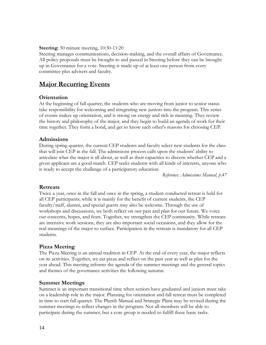#### **Steering:** 50 minute meeting, 10:30-11:20

Steering manages communications, decision-making, and the overall affairs of Governance. All policy proposals must be brought to and passed in Steering before they can be brought up in Governance for a vote. Steering is made up of at least one person from every committee plus advisers and faculty.

## **Major Recurring Events**

#### **Orientation**

At the beginning of fall quarter, the students who are moving from junior to senior status take responsibility for welcoming and integrating new juniors into the program. This series of events makes up orientation, and is strong on energy and rich in meaning. They review the history and philosophy of the major, and they begin to build an agenda of work for their time together. They form a bond, and get to know each other's reasons for choosing CEP.

#### **Admissions**

During spring quarter, the current CEP students and faculty select new students for the class that will join CEP in the fall. The admissions process calls upon the students' ability to articulate what the major is all about, as well as their capacities to discern whether CEP and a given applicant are a good match. CEP seeks students with all kinds of interests, anyone who is ready to accept the challenge of a participatory education.

*Reference: Admissions Manual, p.47*

#### **Retreats**

Twice a year, once in the fall and once in the spring, a student-conducted retreat is held for all CEP participants; while it is mainly for the benefit of current students, the CEP faculty/staff, alumni, and special guests may also be welcome. Through the use of workshops and discussions, we both reflect on our past and plan for our future. We voice our concerns, hopes, and fears. Together, we strengthen the CEP community. While retreats are intensive work sessions, they are also important social occasions, and they allow for the real meanings of the major to surface. Participation in the retreats is mandatory for all CEP students.

#### **Pizza Meeting**

The Pizza Meeting is an annual tradition in CEP. At the end of every year, the major reflects on its activities. Together, we eat pizza and reflect on the past year as well as plan for the year ahead. This meeting informs the agenda of the summer meetings and the general topics and themes of the governance activities the following autumn.

#### **Summer Meetings**

Summer is an important transitional time when seniors have graduated and juniors must take on a leadership role in the major. Planning for orientation and fall retreat must be completed in time to start fall quarter. The Plumb Manual and Strategic Plans may be revised during the summer meetings to reflect changes in the program. Not all members will be able to participate during the summer, but a core group is needed to fulfill these basic tasks.